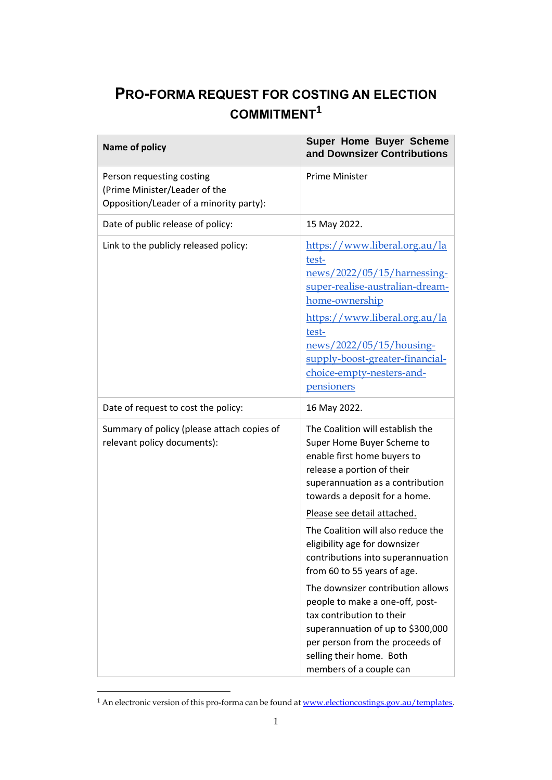# **PRO-FORMA REQUEST FOR COSTING AN ELECTION COMMITMENT<sup>1</sup>**

| Name of policy                                                                                        | Super Home Buyer Scheme<br>and Downsizer Contributions                                                                                                                                                                                                                                                                                                                                                                                                                                                                                                                                                         |
|-------------------------------------------------------------------------------------------------------|----------------------------------------------------------------------------------------------------------------------------------------------------------------------------------------------------------------------------------------------------------------------------------------------------------------------------------------------------------------------------------------------------------------------------------------------------------------------------------------------------------------------------------------------------------------------------------------------------------------|
| Person requesting costing<br>(Prime Minister/Leader of the<br>Opposition/Leader of a minority party): | Prime Minister                                                                                                                                                                                                                                                                                                                                                                                                                                                                                                                                                                                                 |
| Date of public release of policy:                                                                     | 15 May 2022.                                                                                                                                                                                                                                                                                                                                                                                                                                                                                                                                                                                                   |
| Link to the publicly released policy:                                                                 | https://www.liberal.org.au/la<br>test-<br>news/2022/05/15/harnessing-<br>super-realise-australian-dream-<br>home-ownership<br>https://www.liberal.org.au/la<br>test-<br>news/2022/05/15/housing-<br>supply-boost-greater-financial-<br>choice-empty-nesters-and-<br>pensioners                                                                                                                                                                                                                                                                                                                                 |
| Date of request to cost the policy:                                                                   | 16 May 2022.                                                                                                                                                                                                                                                                                                                                                                                                                                                                                                                                                                                                   |
| Summary of policy (please attach copies of<br>relevant policy documents):                             | The Coalition will establish the<br>Super Home Buyer Scheme to<br>enable first home buyers to<br>release a portion of their<br>superannuation as a contribution<br>towards a deposit for a home.<br>Please see detail attached.<br>The Coalition will also reduce the<br>eligibility age for downsizer<br>contributions into superannuation<br>from 60 to 55 years of age.<br>The downsizer contribution allows<br>people to make a one-off, post-<br>tax contribution to their<br>superannuation of up to \$300,000<br>per person from the proceeds of<br>selling their home. Both<br>members of a couple can |

<sup>&</sup>lt;sup>1</sup> An electronic version of this pro-forma can be found at <u>www.electioncostings.gov.au/templates</u>.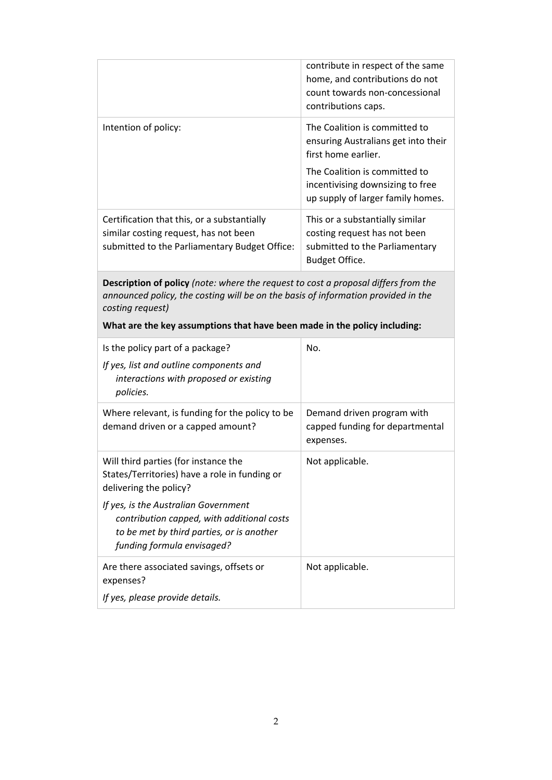|                                                                                                                                                                                                                                                                          | contribute in respect of the same<br>home, and contributions do not<br>count towards non-concessional<br>contributions caps.                                                                          |
|--------------------------------------------------------------------------------------------------------------------------------------------------------------------------------------------------------------------------------------------------------------------------|-------------------------------------------------------------------------------------------------------------------------------------------------------------------------------------------------------|
| Intention of policy:                                                                                                                                                                                                                                                     | The Coalition is committed to<br>ensuring Australians get into their<br>first home earlier.<br>The Coalition is committed to<br>incentivising downsizing to free<br>up supply of larger family homes. |
| Certification that this, or a substantially<br>similar costing request, has not been<br>submitted to the Parliamentary Budget Office:                                                                                                                                    | This or a substantially similar<br>costing request has not been<br>submitted to the Parliamentary<br>Budget Office.                                                                                   |
| Description of policy (note: where the request to cost a proposal differs from the<br>announced policy, the costing will be on the basis of information provided in the<br>costing request)<br>What are the key assumptions that have been made in the policy including: |                                                                                                                                                                                                       |
| Is the policy part of a package?<br>If yes, list and outline components and<br>interactions with proposed or existing<br>policies.                                                                                                                                       | No.                                                                                                                                                                                                   |
| Where relevant, is funding for the policy to be<br>demand driven or a capped amount?                                                                                                                                                                                     | Demand driven program with<br>capped funding for departmental                                                                                                                                         |

| write relevant, is furiourly for the policy to be<br>demand driven or a capped amount?                                                                        | Demand unven program with<br>capped funding for departmental<br>expenses. |
|---------------------------------------------------------------------------------------------------------------------------------------------------------------|---------------------------------------------------------------------------|
| Will third parties (for instance the<br>States/Territories) have a role in funding or<br>delivering the policy?                                               | Not applicable.                                                           |
| If yes, is the Australian Government<br>contribution capped, with additional costs<br>to be met by third parties, or is another<br>funding formula envisaged? |                                                                           |
| Are there associated savings, offsets or<br>expenses?<br>If yes, please provide details.                                                                      | Not applicable.                                                           |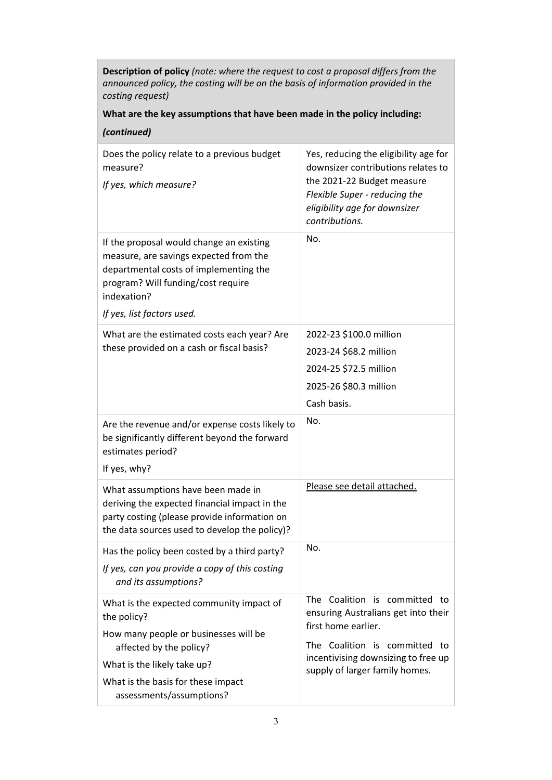**Description of policy** *(note: where the request to cost a proposal differs from the announced policy, the costing will be on the basis of information provided in the costing request)* 

## **What are the key assumptions that have been made in the policy including:**

| (continued)                                                                                                                                                                                                     |                                                                                                                                                                                               |
|-----------------------------------------------------------------------------------------------------------------------------------------------------------------------------------------------------------------|-----------------------------------------------------------------------------------------------------------------------------------------------------------------------------------------------|
| Does the policy relate to a previous budget<br>measure?<br>If yes, which measure?                                                                                                                               | Yes, reducing the eligibility age for<br>downsizer contributions relates to<br>the 2021-22 Budget measure<br>Flexible Super - reducing the<br>eligibility age for downsizer<br>contributions. |
| If the proposal would change an existing<br>measure, are savings expected from the<br>departmental costs of implementing the<br>program? Will funding/cost require<br>indexation?<br>If yes, list factors used. | No.                                                                                                                                                                                           |
| What are the estimated costs each year? Are                                                                                                                                                                     | 2022-23 \$100.0 million                                                                                                                                                                       |
| these provided on a cash or fiscal basis?                                                                                                                                                                       | 2023-24 \$68.2 million                                                                                                                                                                        |
|                                                                                                                                                                                                                 | 2024-25 \$72.5 million                                                                                                                                                                        |
|                                                                                                                                                                                                                 | 2025-26 \$80.3 million                                                                                                                                                                        |
|                                                                                                                                                                                                                 | Cash basis.                                                                                                                                                                                   |
| Are the revenue and/or expense costs likely to<br>be significantly different beyond the forward<br>estimates period?<br>If yes, why?                                                                            | No.                                                                                                                                                                                           |
| What assumptions have been made in<br>deriving the expected financial impact in the<br>party costing (please provide information on<br>the data sources used to develop the policy)?                            | Please see detail attached.                                                                                                                                                                   |
| Has the policy been costed by a third party?                                                                                                                                                                    | No.                                                                                                                                                                                           |
| If yes, can you provide a copy of this costing<br>and its assumptions?                                                                                                                                          |                                                                                                                                                                                               |
| What is the expected community impact of<br>the policy?                                                                                                                                                         | The Coalition is committed to<br>ensuring Australians get into their<br>first home earlier.                                                                                                   |
| How many people or businesses will be<br>affected by the policy?                                                                                                                                                | The Coalition is committed to                                                                                                                                                                 |
| What is the likely take up?                                                                                                                                                                                     | incentivising downsizing to free up<br>supply of larger family homes.                                                                                                                         |
| What is the basis for these impact<br>assessments/assumptions?                                                                                                                                                  |                                                                                                                                                                                               |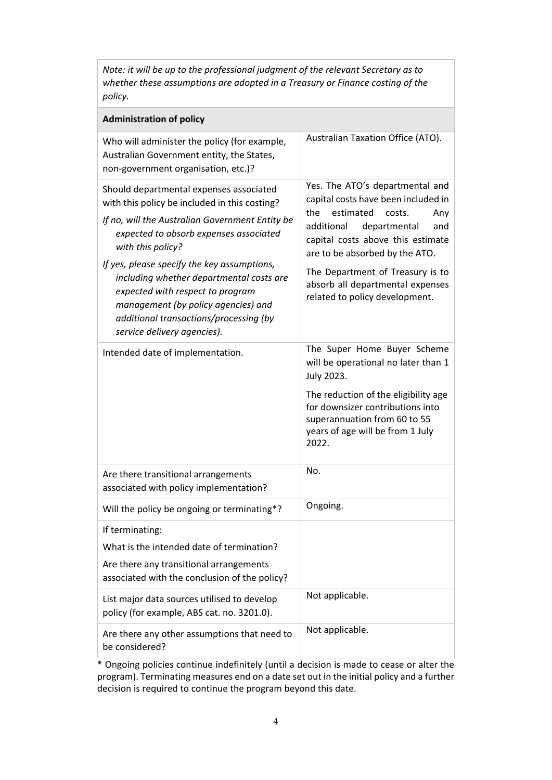*Note: it will be up to the professional judgment of the relevant Secretary as to whether these assumptions are adopted in a Treasury or Finance costing of the policy.*

| <b>Administration of policy</b>                                                                                                                                                                                                                                                                                                                                                                                                                           |                                                                                                                                                                                                                                                                                                                                   |
|-----------------------------------------------------------------------------------------------------------------------------------------------------------------------------------------------------------------------------------------------------------------------------------------------------------------------------------------------------------------------------------------------------------------------------------------------------------|-----------------------------------------------------------------------------------------------------------------------------------------------------------------------------------------------------------------------------------------------------------------------------------------------------------------------------------|
| Who will administer the policy (for example,<br>Australian Government entity, the States,<br>non-government organisation, etc.)?                                                                                                                                                                                                                                                                                                                          | Australian Taxation Office (ATO).                                                                                                                                                                                                                                                                                                 |
| Should departmental expenses associated<br>with this policy be included in this costing?<br>If no, will the Australian Government Entity be<br>expected to absorb expenses associated<br>with this policy?<br>If yes, please specify the key assumptions,<br>including whether departmental costs are<br>expected with respect to program<br>management (by policy agencies) and<br>additional transactions/processing (by<br>service delivery agencies). | Yes. The ATO's departmental and<br>capital costs have been included in<br>estimated<br>the<br>costs.<br>Any<br>departmental<br>additional<br>and<br>capital costs above this estimate<br>are to be absorbed by the ATO.<br>The Department of Treasury is to<br>absorb all departmental expenses<br>related to policy development. |
| Intended date of implementation.                                                                                                                                                                                                                                                                                                                                                                                                                          | The Super Home Buyer Scheme<br>will be operational no later than 1<br>July 2023.<br>The reduction of the eligibility age<br>for downsizer contributions into<br>superannuation from 60 to 55<br>years of age will be from 1 July<br>2022.                                                                                         |
| Are there transitional arrangements<br>associated with policy implementation?                                                                                                                                                                                                                                                                                                                                                                             | No.                                                                                                                                                                                                                                                                                                                               |
| Will the policy be ongoing or terminating*?                                                                                                                                                                                                                                                                                                                                                                                                               | Ongoing.                                                                                                                                                                                                                                                                                                                          |
| If terminating:<br>What is the intended date of termination?<br>Are there any transitional arrangements<br>associated with the conclusion of the policy?                                                                                                                                                                                                                                                                                                  |                                                                                                                                                                                                                                                                                                                                   |
| List major data sources utilised to develop<br>policy (for example, ABS cat. no. 3201.0).                                                                                                                                                                                                                                                                                                                                                                 | Not applicable.                                                                                                                                                                                                                                                                                                                   |
| Are there any other assumptions that need to<br>be considered?                                                                                                                                                                                                                                                                                                                                                                                            | Not applicable.                                                                                                                                                                                                                                                                                                                   |

\* Ongoing policies continue indefinitely (until a decision is made to cease or alter the program). Terminating measures end on a date set out in the initial policy and a further decision is required to continue the program beyond this date.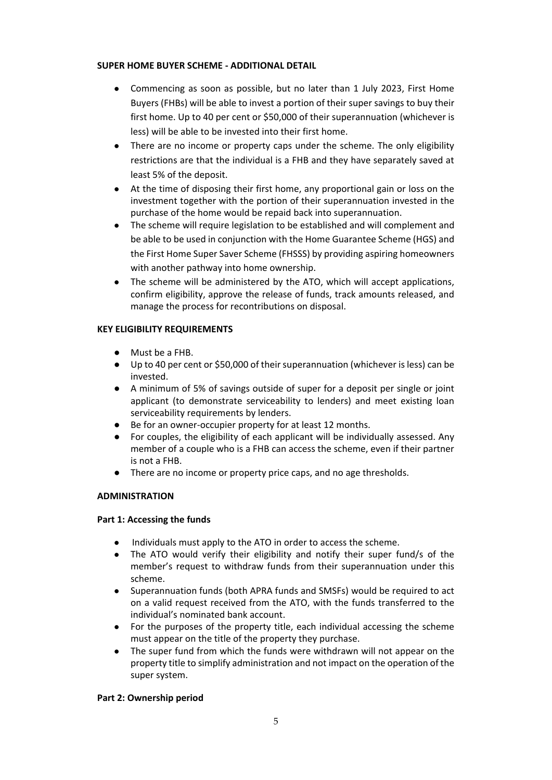## **SUPER HOME BUYER SCHEME - ADDITIONAL DETAIL**

- Commencing as soon as possible, but no later than 1 July 2023, First Home Buyers (FHBs) will be able to invest a portion of their super savings to buy their first home. Up to 40 per cent or \$50,000 of their superannuation (whichever is less) will be able to be invested into their first home.
- There are no income or property caps under the scheme. The only eligibility restrictions are that the individual is a FHB and they have separately saved at least 5% of the deposit.
- At the time of disposing their first home, any proportional gain or loss on the investment together with the portion of their superannuation invested in the purchase of the home would be repaid back into superannuation.
- The scheme will require legislation to be established and will complement and be able to be used in conjunction with the Home Guarantee Scheme (HGS) and the First Home Super Saver Scheme (FHSSS) by providing aspiring homeowners with another pathway into home ownership.
- The scheme will be administered by the ATO, which will accept applications, confirm eligibility, approve the release of funds, track amounts released, and manage the process for recontributions on disposal.

## **KEY ELIGIBILITY REQUIREMENTS**

- Must be a FHB.
- Up to 40 per cent or \$50,000 of their superannuation (whichever is less) can be invested.
- A minimum of 5% of savings outside of super for a deposit per single or joint applicant (to demonstrate serviceability to lenders) and meet existing loan serviceability requirements by lenders.
- Be for an owner-occupier property for at least 12 months.
- For couples, the eligibility of each applicant will be individually assessed. Any member of a couple who is a FHB can access the scheme, even if their partner is not a FHB.
- There are no income or property price caps, and no age thresholds.

## **ADMINISTRATION**

#### **Part 1: Accessing the funds**

- Individuals must apply to the ATO in order to access the scheme.
- The ATO would verify their eligibility and notify their super fund/s of the member's request to withdraw funds from their superannuation under this scheme.
- Superannuation funds (both APRA funds and SMSFs) would be required to act on a valid request received from the ATO, with the funds transferred to the individual's nominated bank account.
- For the purposes of the property title, each individual accessing the scheme must appear on the title of the property they purchase.
- The super fund from which the funds were withdrawn will not appear on the property title to simplify administration and not impact on the operation of the super system.

#### **Part 2: Ownership period**